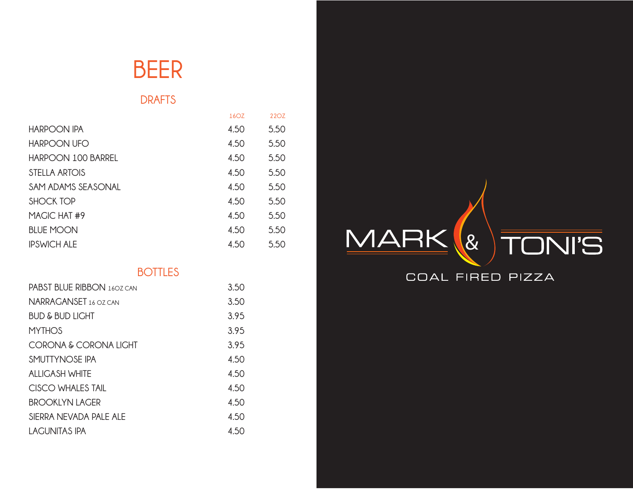

## **DRAFTS**

|                    | 16OZ | 22OZ |
|--------------------|------|------|
| <b>HARPOON IPA</b> | 4.50 | 5.50 |
| <b>HARPOON UFO</b> | 4.50 | 5.50 |
| HARPOON 100 BARREL | 4.50 | 5.50 |
| STELLA ARTOIS      | 4.50 | 5.50 |
| SAM ADAMS SEASONAL | 4.50 | 5.50 |
| <b>SHOCK TOP</b>   | 4.50 | 5.50 |
| MAGIC HAT #9       | 4.50 | 5.50 |
| <b>BLUE MOON</b>   | 4.50 | 5.50 |
| <b>IPSWICH ALE</b> | 4.50 | 5.50 |

### **BOTTLES**

| <b>PABST BLUE RIBBON</b> 1607 CAN | 3.50 |
|-----------------------------------|------|
| NARRAGANSET 16 OZ CAN             | 3.50 |
| <b>BUD &amp; BUD LIGHT</b>        | 3.95 |
| <b>MYTHOS</b>                     | 3.95 |
| CORONA & CORONA LIGHT             | 3.95 |
| SMUTTYNOSE IPA                    | 4.50 |
| ALLIGASH WHITE                    | 4.50 |
| CISCO WHAI ES TAIL                | 4.50 |
| BROOKLYN LAGER                    | 4.50 |
| SIERRA NEVADA PAI E AI E          | 4.50 |
| I ACUNITAS IPA                    | 4.50 |



## COAL FIRED PIZZA